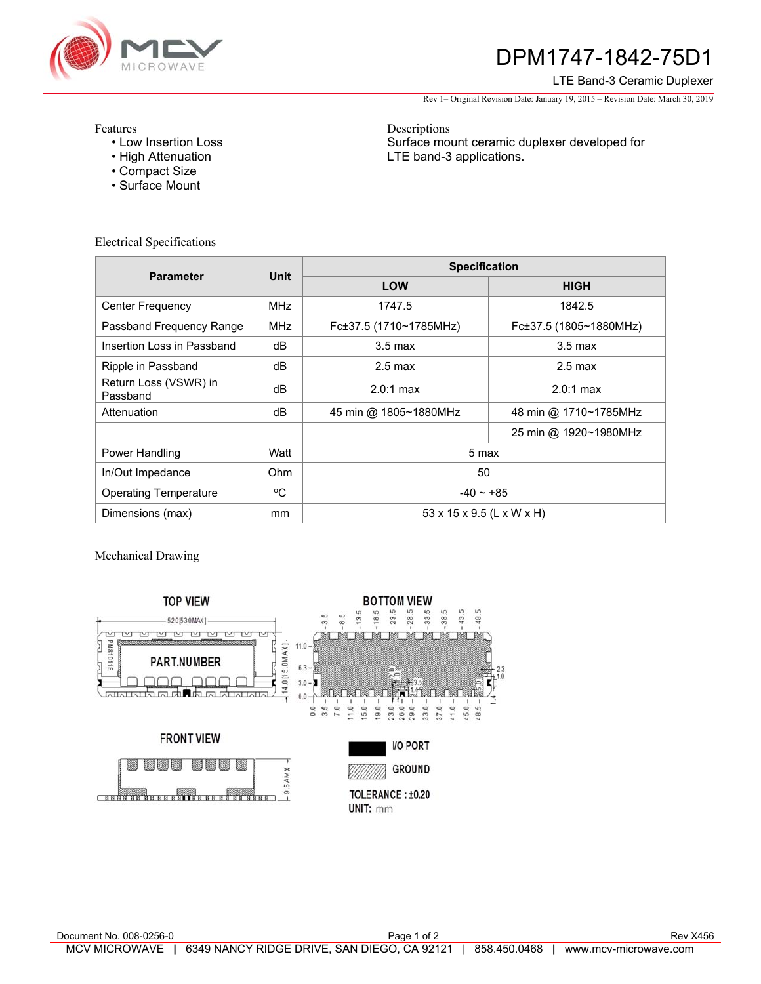

## DPM1747-1842-75D1

LTE Band-3 Ceramic Duplexer

Rev 1– Original Revision Date: January 19, 2015 – Revision Date: March 30, 2019

Surface mount ceramic duplexer developed for

Features

- Low Insertion Loss
- High Attenuation
- Compact Size
- Surface Mount

Electrical Specifications

| <b>Parameter</b>                  | <b>Unit</b>   | <b>Specification</b>                  |                              |
|-----------------------------------|---------------|---------------------------------------|------------------------------|
|                                   |               | LOW                                   | <b>HIGH</b>                  |
| <b>Center Frequency</b>           | <b>MHz</b>    | 1747.5                                | 1842.5                       |
| Passband Frequency Range          | <b>MHz</b>    | Fc±37.5 (1710~1785MHz)                | Fc $\pm$ 37.5 (1805~1880MHz) |
| Insertion Loss in Passband        | dB            | $3.5 \text{ max}$                     | $3.5 \text{ max}$            |
| Ripple in Passband                | dB            | $2.5 \text{ max}$                     | $2.5 \text{ max}$            |
| Return Loss (VSWR) in<br>Passband | dB            | $2.0:1 \text{ max}$                   | $2.0:1 \text{ max}$          |
| Attenuation                       | dB            | 45 min @ 1805~1880MHz                 | 48 min @ 1710~1785MHz        |
|                                   |               |                                       | 25 min @ 1920~1980MHz        |
| Power Handling                    | Watt          | 5 max                                 |                              |
| In/Out Impedance                  | Ohm           | 50                                    |                              |
| <b>Operating Temperature</b>      | °C            | $-40 \sim +85$                        |                              |
| Dimensions (max)                  | <sub>mm</sub> | $53 \times 15 \times 9.5$ (L x W x H) |                              |

Descriptions

LTE band-3 applications.

Mechanical Drawing